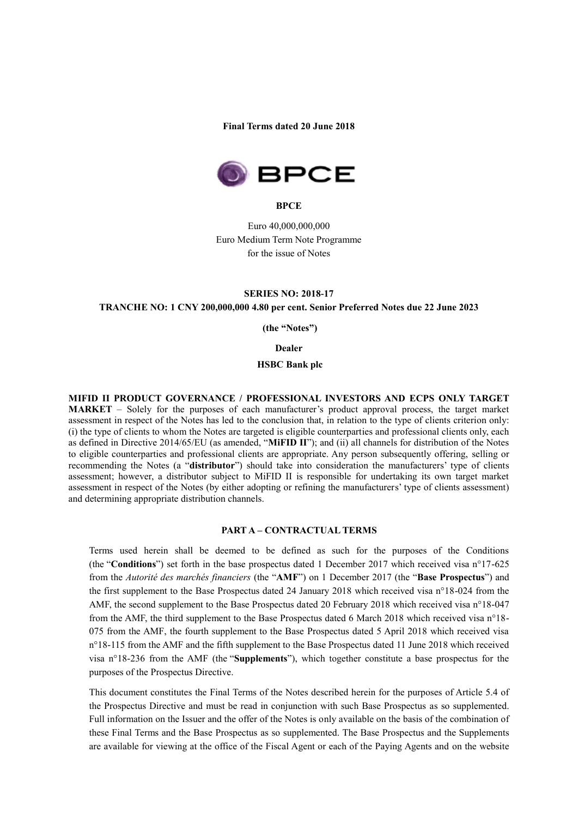#### **Final Terms dated 20 June 2018**



**BPCE**

Euro 40,000,000,000 Euro Medium Term Note Programme for the issue of Notes

### **SERIES NO: 2018-17 TRANCHE NO: 1 CNY 200,000,000 4.80 per cent. Senior Preferred Notes due 22 June 2023**

 **(the "Notes")**

#### **Dealer**

#### **HSBC Bank plc**

**MIFID II PRODUCT GOVERNANCE / PROFESSIONAL INVESTORS AND ECPS ONLY TARGET MARKET** – Solely for the purposes of each manufacturer's product approval process, the target market assessment in respect of the Notes has led to the conclusion that, in relation to the type of clients criterion only: (i) the type of clients to whom the Notes are targeted is eligible counterparties and professional clients only, each as defined in Directive 2014/65/EU (as amended, "**MiFID II**"); and (ii) all channels for distribution of the Notes to eligible counterparties and professional clients are appropriate. Any person subsequently offering, selling or recommending the Notes (a "**distributor**") should take into consideration the manufacturers' type of clients assessment; however, a distributor subject to MiFID II is responsible for undertaking its own target market assessment in respect of the Notes (by either adopting or refining the manufacturers' type of clients assessment) and determining appropriate distribution channels.

#### **PART A – CONTRACTUAL TERMS**

Terms used herein shall be deemed to be defined as such for the purposes of the Conditions (the "**Conditions**") set forth in the base prospectus dated 1 December 2017 which received visa n°17-625 from the *Autorité des marchés financiers* (the "**AMF**") on 1 December 2017 (the "**Base Prospectus**") and the first supplement to the Base Prospectus dated 24 January 2018 which received visa n°18-024 from the AMF, the second supplement to the Base Prospectus dated 20 February 2018 which received visa n°18-047 from the AMF, the third supplement to the Base Prospectus dated 6 March 2018 which received visa n°18- 075 from the AMF, the fourth supplement to the Base Prospectus dated 5 April 2018 which received visa n°18-115 from the AMF and the fifth supplement to the Base Prospectus dated 11 June 2018 which received visa n°18-236 from the AMF (the "**Supplements**"), which together constitute a base prospectus for the purposes of the Prospectus Directive.

This document constitutes the Final Terms of the Notes described herein for the purposes of Article 5.4 of the Prospectus Directive and must be read in conjunction with such Base Prospectus as so supplemented. Full information on the Issuer and the offer of the Notes is only available on the basis of the combination of these Final Terms and the Base Prospectus as so supplemented. The Base Prospectus and the Supplements are available for viewing at the office of the Fiscal Agent or each of the Paying Agents and on the website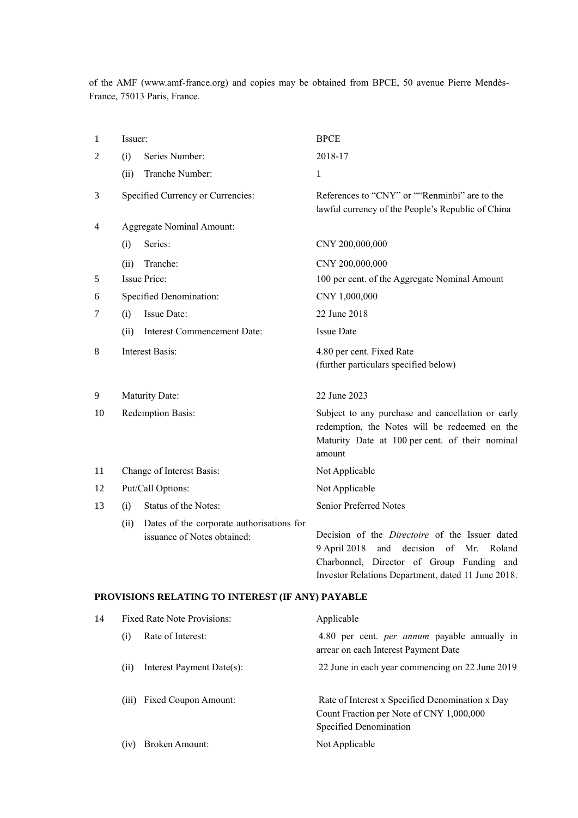of the AMF (www.amf-france.org) and copies may be obtained from BPCE, 50 avenue Pierre Mendès-France, 75013 Paris, France.

| 1  | Issuer:                           |                                                                          | <b>BPCE</b>                                                                                                                                                     |
|----|-----------------------------------|--------------------------------------------------------------------------|-----------------------------------------------------------------------------------------------------------------------------------------------------------------|
| 2  | Series Number:<br>(i)             |                                                                          | 2018-17                                                                                                                                                         |
|    | (ii)                              | Tranche Number:                                                          | 1                                                                                                                                                               |
| 3  | Specified Currency or Currencies: |                                                                          | References to "CNY" or ""Renminbi" are to the<br>lawful currency of the People's Republic of China                                                              |
| 4  | Aggregate Nominal Amount:         |                                                                          |                                                                                                                                                                 |
|    | (i)                               | Series:                                                                  | CNY 200,000,000                                                                                                                                                 |
|    | (ii)                              | Tranche:                                                                 | CNY 200,000,000                                                                                                                                                 |
| 5  | <b>Issue Price:</b>               |                                                                          | 100 per cent. of the Aggregate Nominal Amount                                                                                                                   |
| 6  | Specified Denomination:           |                                                                          | CNY 1,000,000                                                                                                                                                   |
| 7  | (i)                               | Issue Date:                                                              | 22 June 2018                                                                                                                                                    |
|    | (ii)                              | <b>Interest Commencement Date:</b>                                       | <b>Issue Date</b>                                                                                                                                               |
| 8  | <b>Interest Basis:</b>            |                                                                          | 4.80 per cent. Fixed Rate<br>(further particulars specified below)                                                                                              |
| 9  | Maturity Date:                    |                                                                          | 22 June 2023                                                                                                                                                    |
| 10 | Redemption Basis:                 |                                                                          | Subject to any purchase and cancellation or early<br>redemption, the Notes will be redeemed on the<br>Maturity Date at 100 per cent. of their nominal<br>amount |
| 11 | Change of Interest Basis:         |                                                                          | Not Applicable                                                                                                                                                  |
| 12 | Put/Call Options:                 |                                                                          | Not Applicable                                                                                                                                                  |
| 13 | (i)                               | Status of the Notes:                                                     | Senior Preferred Notes                                                                                                                                          |
|    | (ii)                              | Dates of the corporate authorisations for<br>issuance of Notes obtained: | Decision of the <i>Directoire</i> of the Issuer dated<br>9 April 2018<br>of<br>and<br>decision<br>Mr.<br>Roland<br>Charbonnel, Director of Group Funding and    |

#### **PROVISIONS RELATING TO INTEREST (IF ANY) PAYABLE**

| 14 | <b>Fixed Rate Note Provisions:</b> |  | Applicable                                                                                                            |  |
|----|------------------------------------|--|-----------------------------------------------------------------------------------------------------------------------|--|
|    | Rate of Interest:<br>(i)           |  | 4.80 per cent. <i>per annum</i> payable annually in<br>arrear on each Interest Payment Date                           |  |
|    | Interest Payment Date(s):<br>(i)   |  | 22 June in each year commencing on 22 June 2019                                                                       |  |
|    | (iii) Fixed Coupon Amount:         |  | Rate of Interest x Specified Denomination x Day<br>Count Fraction per Note of CNY 1,000,000<br>Specified Denomination |  |
|    | Broken Amount:<br>(iv)             |  | Not Applicable                                                                                                        |  |

Investor Relations Department, dated 11 June 2018.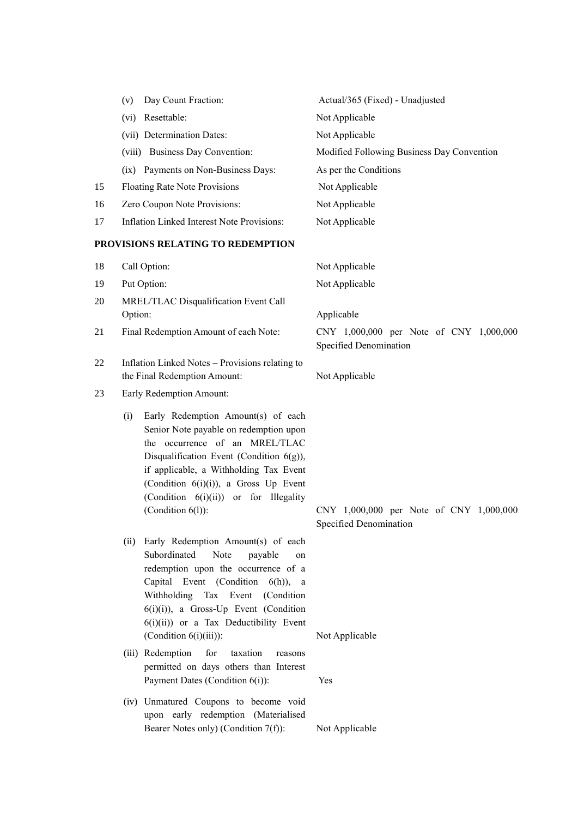|    | Day Count Fraction:<br>(v)                                                                                                                                                                                                                                                                                                      | Actual/365 (Fixed) - Unadjusted                                   |
|----|---------------------------------------------------------------------------------------------------------------------------------------------------------------------------------------------------------------------------------------------------------------------------------------------------------------------------------|-------------------------------------------------------------------|
|    | Resettable:<br>(vi)                                                                                                                                                                                                                                                                                                             | Not Applicable                                                    |
|    | (vii) Determination Dates:                                                                                                                                                                                                                                                                                                      | Not Applicable                                                    |
|    | (viii) Business Day Convention:                                                                                                                                                                                                                                                                                                 | Modified Following Business Day Convention                        |
|    | (ix) Payments on Non-Business Days:                                                                                                                                                                                                                                                                                             | As per the Conditions                                             |
| 15 | <b>Floating Rate Note Provisions</b>                                                                                                                                                                                                                                                                                            | Not Applicable                                                    |
| 16 | Zero Coupon Note Provisions:                                                                                                                                                                                                                                                                                                    | Not Applicable                                                    |
| 17 | Inflation Linked Interest Note Provisions:                                                                                                                                                                                                                                                                                      | Not Applicable                                                    |
|    | PROVISIONS RELATING TO REDEMPTION                                                                                                                                                                                                                                                                                               |                                                                   |
| 18 | Call Option:                                                                                                                                                                                                                                                                                                                    | Not Applicable                                                    |
| 19 | Put Option:                                                                                                                                                                                                                                                                                                                     | Not Applicable                                                    |
| 20 | MREL/TLAC Disqualification Event Call<br>Option:                                                                                                                                                                                                                                                                                | Applicable                                                        |
| 21 | Final Redemption Amount of each Note:                                                                                                                                                                                                                                                                                           | CNY 1,000,000 per Note of CNY 1,000,000<br>Specified Denomination |
| 22 | Inflation Linked Notes - Provisions relating to<br>the Final Redemption Amount:                                                                                                                                                                                                                                                 | Not Applicable                                                    |
| 23 | Early Redemption Amount:                                                                                                                                                                                                                                                                                                        |                                                                   |
|    | Early Redemption Amount(s) of each<br>(i)<br>Senior Note payable on redemption upon<br>the occurrence of an MREL/TLAC<br>Disqualification Event (Condition $6(g)$ ),<br>if applicable, a Withholding Tax Event<br>(Condition 6(i)(i)), a Gross Up Event<br>(Condition 6(i)(ii)) or for Illegality<br>(Condition $6(l)$ ):       | CNY 1,000,000 per Note of CNY 1,000,000                           |
|    |                                                                                                                                                                                                                                                                                                                                 | Specified Denomination                                            |
|    | Early Redemption Amount(s) of each<br>(ii)<br>Subordinated<br>Note<br>payable<br>on<br>redemption upon the occurrence of a<br>Capital Event (Condition<br>$6(h)$ ), a<br>Withholding Tax Event<br>(Condition<br>$6(i)(i)$ , a Gross-Up Event (Condition<br>$6(i)(ii)$ or a Tax Deductibility Event<br>(Condition $6(i)(iii)$ ): | Not Applicable                                                    |
|    | (iii) Redemption<br>for<br>taxation<br>reasons                                                                                                                                                                                                                                                                                  |                                                                   |
|    | permitted on days others than Interest<br>Payment Dates (Condition 6(i)):                                                                                                                                                                                                                                                       | Yes                                                               |

(iv) Unmatured Coupons to become void upon early redemption (Materialised Bearer Notes only) (Condition 7(f)): Not Applicable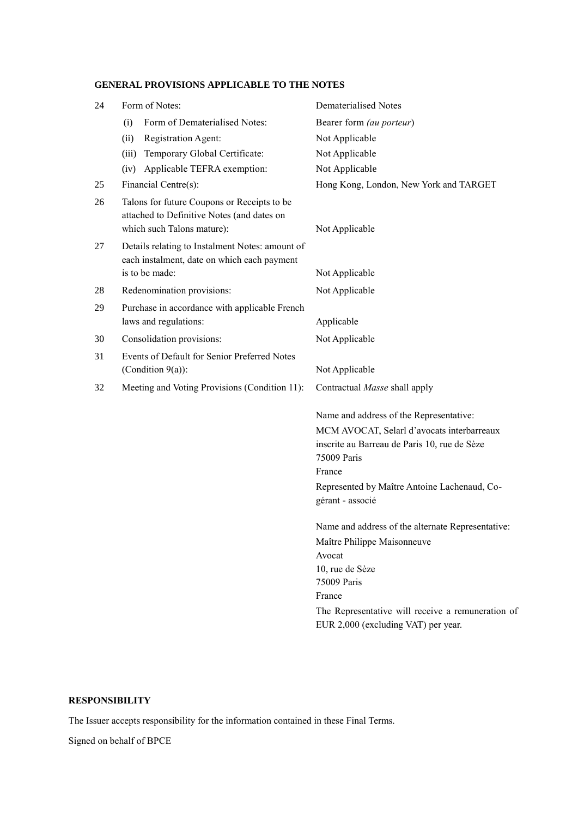# **GENERAL PROVISIONS APPLICABLE TO THE NOTES**

| 24 | Form of Notes:                                                                                                          | <b>Dematerialised Notes</b>                                                                               |
|----|-------------------------------------------------------------------------------------------------------------------------|-----------------------------------------------------------------------------------------------------------|
|    | Form of Dematerialised Notes:<br>(i)                                                                                    | Bearer form (au porteur)                                                                                  |
|    | Registration Agent:<br>(ii)                                                                                             | Not Applicable                                                                                            |
|    | Temporary Global Certificate:<br>(iii)                                                                                  | Not Applicable                                                                                            |
|    | Applicable TEFRA exemption:<br>(iv)                                                                                     | Not Applicable                                                                                            |
| 25 | Financial Centre(s):                                                                                                    | Hong Kong, London, New York and TARGET                                                                    |
| 26 | Talons for future Coupons or Receipts to be<br>attached to Definitive Notes (and dates on<br>which such Talons mature): | Not Applicable                                                                                            |
| 27 | Details relating to Instalment Notes: amount of<br>each instalment, date on which each payment                          |                                                                                                           |
|    | is to be made:                                                                                                          | Not Applicable                                                                                            |
| 28 | Redenomination provisions:                                                                                              | Not Applicable                                                                                            |
| 29 | Purchase in accordance with applicable French<br>laws and regulations:                                                  | Applicable                                                                                                |
| 30 | Consolidation provisions:                                                                                               | Not Applicable                                                                                            |
| 31 | Events of Default for Senior Preferred Notes<br>(Condition $9(a)$ ):                                                    | Not Applicable                                                                                            |
| 32 | Meeting and Voting Provisions (Condition 11):                                                                           | Contractual Masse shall apply                                                                             |
|    |                                                                                                                         | Name and address of the Representative:                                                                   |
|    |                                                                                                                         | MCM AVOCAT, Selarl d'avocats interbarreaux<br>inscrite au Barreau de Paris 10, rue de Sèze<br>75009 Paris |
|    |                                                                                                                         | France                                                                                                    |
|    |                                                                                                                         | Represented by Maître Antoine Lachenaud, Co-<br>gérant - associé                                          |
|    |                                                                                                                         | Name and address of the alternate Representative:                                                         |
|    |                                                                                                                         | Maître Philippe Maisonneuve                                                                               |
|    |                                                                                                                         | Avocat                                                                                                    |
|    |                                                                                                                         | 10, rue de Sèze<br>75009 Paris                                                                            |
|    |                                                                                                                         | France                                                                                                    |
|    |                                                                                                                         | The Representative will receive a remuneration of<br>EUR 2,000 (excluding VAT) per year.                  |
|    |                                                                                                                         |                                                                                                           |

## **RESPONSIBILITY**

The Issuer accepts responsibility for the information contained in these Final Terms.

Signed on behalf of BPCE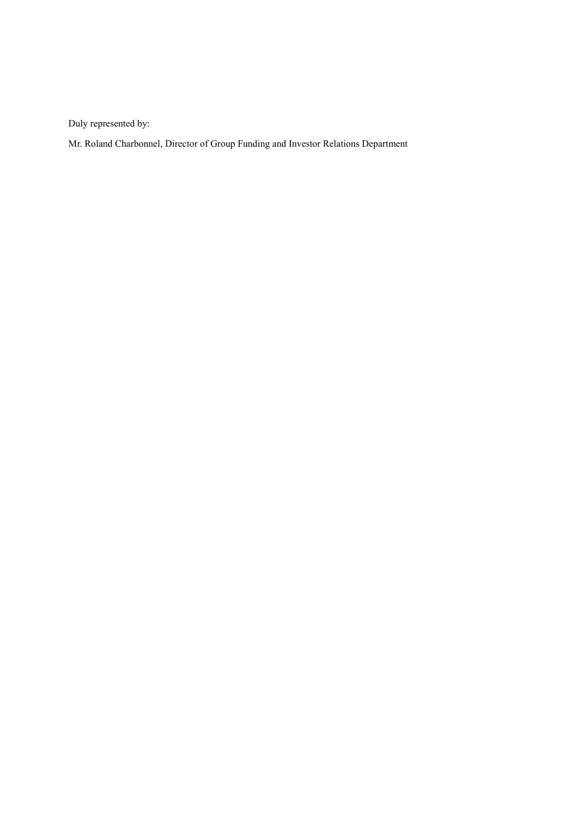Duly represented by:

Mr. Roland Charbonnel, Director of Group Funding and Investor Relations Department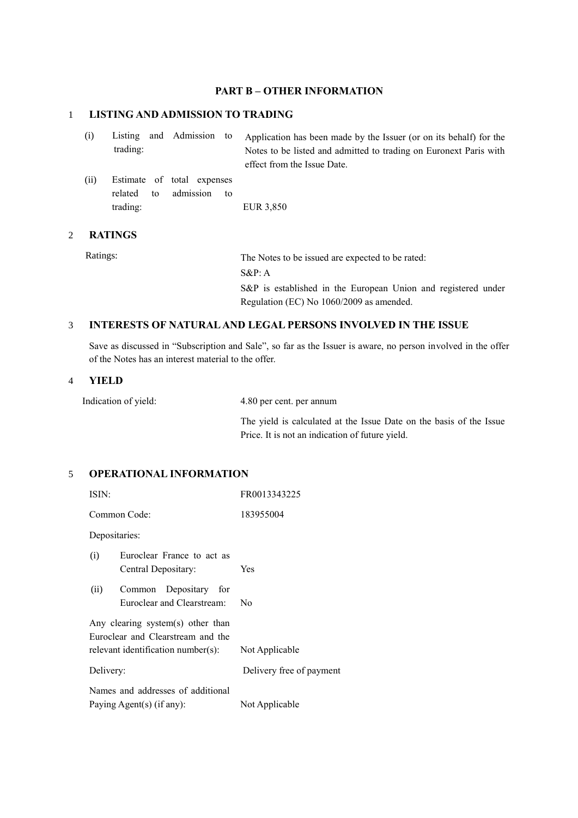### **PART B – OTHER INFORMATION**

## 1 **LISTING AND ADMISSION TO TRADING**

| (i)  | trading:                  | Listing and Admission to                      | Application has been made by the Issuer (or on its behalf) for the<br>Notes to be listed and admitted to trading on Euronext Paris with<br>effect from the Issue Date. |
|------|---------------------------|-----------------------------------------------|------------------------------------------------------------------------------------------------------------------------------------------------------------------------|
| (ii) | related<br>to<br>trading: | Estimate of total expenses<br>admission<br>to | EUR 3,850                                                                                                                                                              |

#### 2 **RATINGS**

Ratings: The Notes to be issued are expected to be rated: S&P: A S&P is established in the European Union and registered under Regulation (EC) No 1060/2009 as amended.

### 3 **INTERESTS OF NATURAL AND LEGAL PERSONS INVOLVED IN THE ISSUE**

Save as discussed in "Subscription and Sale", so far as the Issuer is aware, no person involved in the offer of the Notes has an interest material to the offer.

### 4 **YIELD**

Indication of yield: 4.80 per cent. per annum

The yield is calculated at the Issue Date on the basis of the Issue Price. It is not an indication of future yield.

# 5 **OPERATIONAL INFORMATION**

| ISIN:                                                                                                                          | FR0013343225             |  |  |
|--------------------------------------------------------------------------------------------------------------------------------|--------------------------|--|--|
| Common Code:                                                                                                                   | 183955004                |  |  |
| Depositaries:                                                                                                                  |                          |  |  |
| Euroclear France to act as<br>(i)<br>Central Depositary:                                                                       | Yes                      |  |  |
| (ii)<br>Common Depositary for<br>Euroclear and Clearstream:                                                                    | Nο                       |  |  |
| Any clearing system(s) other than<br>Euroclear and Clearstream and the<br>relevant identification number(s):<br>Not Applicable |                          |  |  |
| Delivery:                                                                                                                      | Delivery free of payment |  |  |
| Names and addresses of additional<br>Paying Agent(s) (if any):                                                                 | Not Applicable           |  |  |